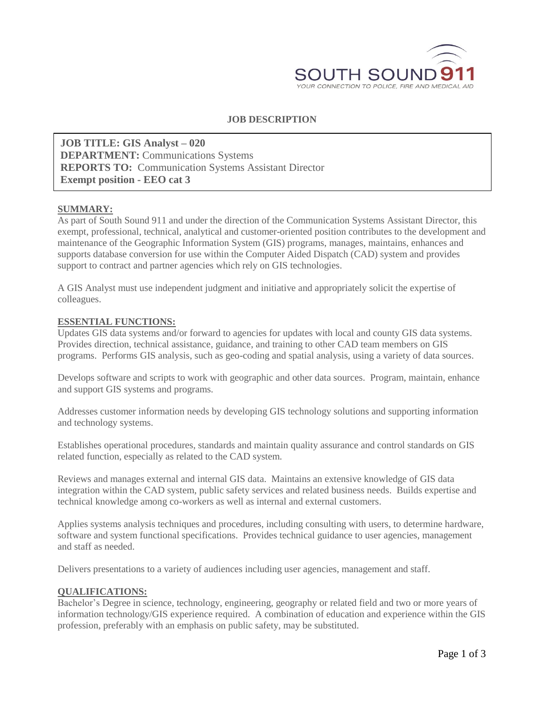

## **JOB DESCRIPTION**

**JOB TITLE: GIS Analyst – 020 DEPARTMENT:** Communications Systems **REPORTS TO:** Communication Systems Assistant Director **Exempt position - EEO cat 3**

#### **SUMMARY:**

As part of South Sound 911 and under the direction of the Communication Systems Assistant Director, this exempt, professional, technical, analytical and customer-oriented position contributes to the development and maintenance of the Geographic Information System (GIS) programs, manages, maintains, enhances and supports database conversion for use within the Computer Aided Dispatch (CAD) system and provides support to contract and partner agencies which rely on GIS technologies.

A GIS Analyst must use independent judgment and initiative and appropriately solicit the expertise of colleagues.

#### **ESSENTIAL FUNCTIONS:**

Updates GIS data systems and/or forward to agencies for updates with local and county GIS data systems. Provides direction, technical assistance, guidance, and training to other CAD team members on GIS programs. Performs GIS analysis, such as geo-coding and spatial analysis, using a variety of data sources.

Develops software and scripts to work with geographic and other data sources. Program, maintain, enhance and support GIS systems and programs.

Addresses customer information needs by developing GIS technology solutions and supporting information and technology systems.

Establishes operational procedures, standards and maintain quality assurance and control standards on GIS related function, especially as related to the CAD system.

Reviews and manages external and internal GIS data. Maintains an extensive knowledge of GIS data integration within the CAD system, public safety services and related business needs. Builds expertise and technical knowledge among co-workers as well as internal and external customers.

Applies systems analysis techniques and procedures, including consulting with users, to determine hardware, software and system functional specifications. Provides technical guidance to user agencies, management and staff as needed.

Delivers presentations to a variety of audiences including user agencies, management and staff.

#### **QUALIFICATIONS:**

Bachelor's Degree in science, technology, engineering, geography or related field and two or more years of information technology/GIS experience required. A combination of education and experience within the GIS profession, preferably with an emphasis on public safety, may be substituted.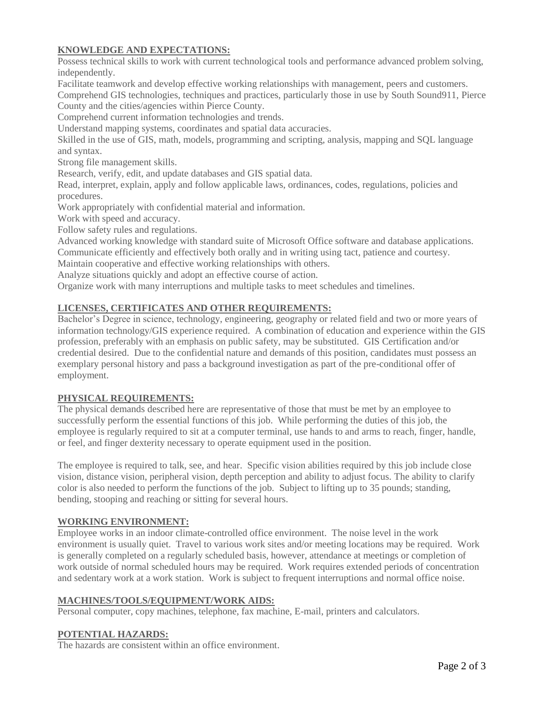# **KNOWLEDGE AND EXPECTATIONS:**

Possess technical skills to work with current technological tools and performance advanced problem solving, independently.

Facilitate teamwork and develop effective working relationships with management, peers and customers. Comprehend GIS technologies, techniques and practices, particularly those in use by South Sound911, Pierce County and the cities/agencies within Pierce County.

Comprehend current information technologies and trends.

Understand mapping systems, coordinates and spatial data accuracies.

Skilled in the use of GIS, math, models, programming and scripting, analysis, mapping and SQL language and syntax.

Strong file management skills.

Research, verify, edit, and update databases and GIS spatial data.

Read, interpret, explain, apply and follow applicable laws, ordinances, codes, regulations, policies and procedures.

Work appropriately with confidential material and information.

Work with speed and accuracy.

Follow safety rules and regulations.

Advanced working knowledge with standard suite of Microsoft Office software and database applications.

Communicate efficiently and effectively both orally and in writing using tact, patience and courtesy.

Maintain cooperative and effective working relationships with others.

Analyze situations quickly and adopt an effective course of action.

Organize work with many interruptions and multiple tasks to meet schedules and timelines.

# **LICENSES, CERTIFICATES AND OTHER REQUIREMENTS:**

Bachelor's Degree in science, technology, engineering, geography or related field and two or more years of information technology/GIS experience required. A combination of education and experience within the GIS profession, preferably with an emphasis on public safety, may be substituted. GIS Certification and/or credential desired. Due to the confidential nature and demands of this position, candidates must possess an exemplary personal history and pass a background investigation as part of the pre-conditional offer of employment.

### **PHYSICAL REQUIREMENTS:**

The physical demands described here are representative of those that must be met by an employee to successfully perform the essential functions of this job. While performing the duties of this job, the employee is regularly required to sit at a computer terminal, use hands to and arms to reach, finger, handle, or feel, and finger dexterity necessary to operate equipment used in the position.

The employee is required to talk, see, and hear. Specific vision abilities required by this job include close vision, distance vision, peripheral vision, depth perception and ability to adjust focus. The ability to clarify color is also needed to perform the functions of the job. Subject to lifting up to 35 pounds; standing, bending, stooping and reaching or sitting for several hours.

### **WORKING ENVIRONMENT:**

Employee works in an indoor climate-controlled office environment. The noise level in the work environment is usually quiet. Travel to various work sites and/or meeting locations may be required. Work is generally completed on a regularly scheduled basis, however, attendance at meetings or completion of work outside of normal scheduled hours may be required. Work requires extended periods of concentration and sedentary work at a work station. Work is subject to frequent interruptions and normal office noise.

### **MACHINES/TOOLS/EQUIPMENT/WORK AIDS:**

Personal computer, copy machines, telephone, fax machine, E-mail, printers and calculators.

### **POTENTIAL HAZARDS:**

The hazards are consistent within an office environment.